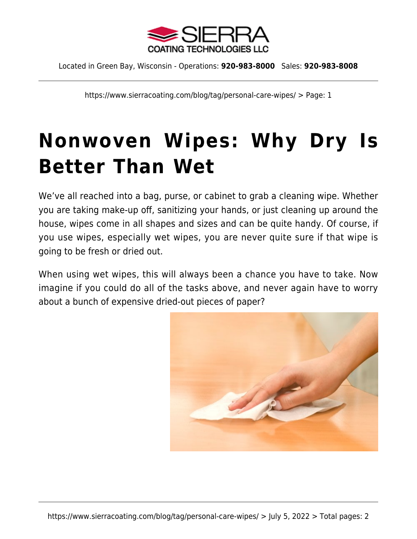

Located in Green Bay, Wisconsin - Operations: **920-983-8000** Sales: **920-983-8008**

https://www.sierracoating.com/blog/tag/personal-care-wipes/ > Page: 1

## **[Nonwoven Wipes: Why Dry Is](https://www.sierracoating.com/blog/non-woven-wipes-why-dry-is-better-than-wet/) [Better Than Wet](https://www.sierracoating.com/blog/non-woven-wipes-why-dry-is-better-than-wet/)**

We've all reached into a bag, purse, or cabinet to grab a cleaning wipe. Whether you are taking make-up off, sanitizing your hands, or just cleaning up around the house, wipes come in all shapes and sizes and can be quite handy. Of course, if you use wipes, especially wet wipes, you are never quite sure if that wipe is going to be fresh or dried out.

When using wet wipes, this will always been a chance you have to take. Now imagine if you could do all of the tasks above, and never again have to worry about a bunch of expensive dried-out pieces of paper?